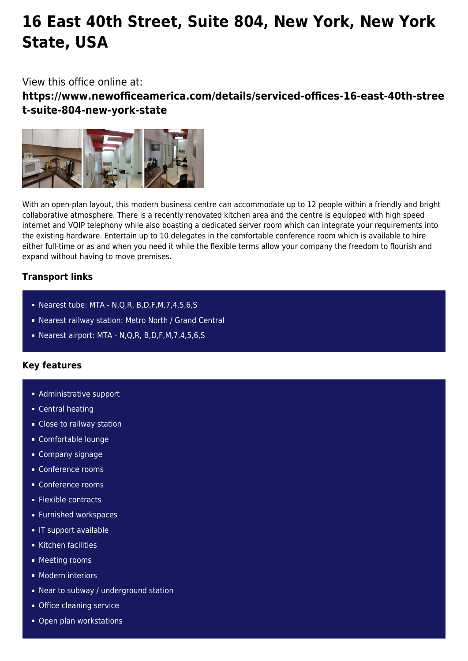# **16 East 40th Street, Suite 804, New York, New York State, USA**

## View this office online at:

**https://www.newofficeamerica.com/details/serviced-offices-16-east-40th-stree t-suite-804-new-york-state**



With an open-plan layout, this modern business centre can accommodate up to 12 people within a friendly and bright collaborative atmosphere. There is a recently renovated kitchen area and the centre is equipped with high speed internet and VOIP telephony while also boasting a dedicated server room which can integrate your requirements into the existing hardware. Entertain up to 10 delegates in the comfortable conference room which is available to hire either full-time or as and when you need it while the flexible terms allow your company the freedom to flourish and expand without having to move premises.

## **Transport links**

- Nearest tube: MTA N,Q,R, B,D,F,M,7,4,5,6,S
- Nearest railway station: Metro North / Grand Central
- Nearest airport: MTA N,Q,R, B,D,F,M,7,4,5,6,S

## **Key features**

- **Administrative support**
- Central heating
- **Close to railway station**
- Comfortable lounge
- Company signage
- Conference rooms
- Conference rooms
- **Flexible contracts**
- **Furnished workspaces**
- **IF support available**
- Kitchen facilities
- **Meeting rooms**
- **Modern interiors**
- **Near to subway / underground station**
- **Office cleaning service**
- Open plan workstations